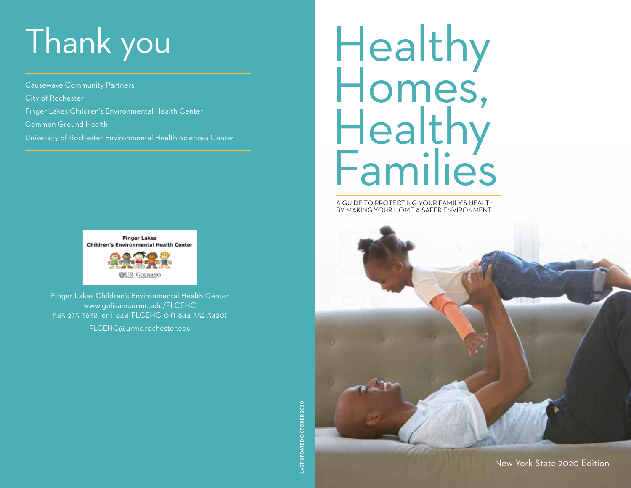# Thank you

Causewave Community Partners City of Rochester Finger Lakes Children's Environmental Health Center Common Ground Health University of Rochester Environmental Health Sciences Center



Finger Lakes Children's Environmental Health Center www.golisano.urmc.edu/FLCEHC 585-275-3638 or 1-844-FLCEHC-0 (1-844-352-3420)

FLCEHC@urmc.rochester.edu

# Healthy Homes, Healthy **Families**

A GUIDE TO PROTECTING YOUR FAMILY'S HEALTH BY MAKING YOUR HOME A SAFER ENVIRONMENT

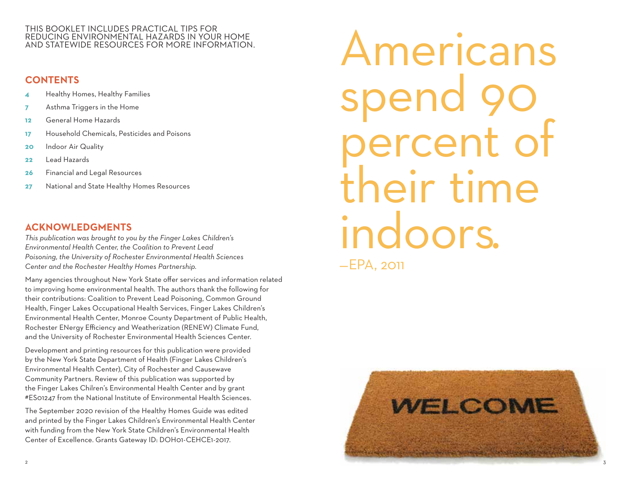#### THIS BOOKLET INCLUDES PRACTICAL TIPS FOR REDUCING ENVIRONMENTAL HAZARDS IN YOUR HOME AND STATEWIDE RESOURCES FOR MORE INFORMATION.

#### **CONTENTS**

- **4** Healthy Homes, Healthy Families
- **7** Asthma Triggers in the Home
- **12** General Home Hazards
- **17** Household Chemicals, Pesticides and Poisons
- **20** Indoor Air Quality
- **22** Lead Hazards
- **26** Financial and Legal Resources
- **27** National and State Healthy Homes Resources

#### **ACKNOWLEDGMENTS**

*This publication was brought to you by the Finger Lakes Children's Environmental Health Center, the Coalition to Prevent Lead Poisoning, the University of Rochester Environmental Health Sciences Center and the Rochester Healthy Homes Partnership.*

Many agencies throughout New York State offer services and information related to improving home environmental health. The authors thank the following for their contributions: Coalition to Prevent Lead Poisoning, Common Ground Health, Finger Lakes Occupational Health Services, Finger Lakes Children's Environmental Health Center, Monroe County Department of Public Health, Rochester ENergy Efficiency and Weatherization (RENEW) Climate Fund, and the University of Rochester Environmental Health Sciences Center.

Development and printing resources for this publication were provided by the New York State Department of Health (Finger Lakes Children's Environmental Health Center), City of Rochester and Causewave Community Partners. Review of this publication was supported by the Finger Lakes Chilren's Environmental Health Center and by grant #ES01247 from the National Institute of Environmental Health Sciences.

The September 2020 revision of the Healthy Homes Guide was edited and printed by the Finger Lakes Children's Environmental Health Center with funding from the New York State Children's Environmental Health Center of Excellence. Grants Gateway ID: DOH01-CEHCE1-2017.

Americans spend 90 iercent of their time indoors. —EPA, 2011

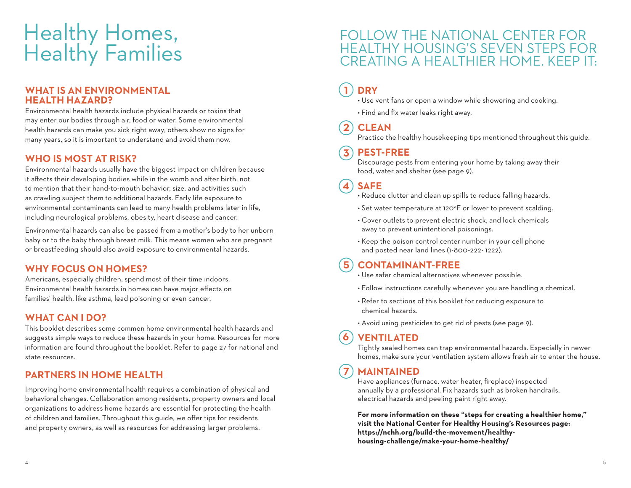### Healthy Homes, Healthy Families

#### **WHAT IS AN ENVIRONMENTAL HEALTH HAZARD?**

Environmental health hazards include physical hazards or toxins that may enter our bodies through air, food or water. Some environmental health hazards can make you sick right away; others show no signs for many years, so it is important to understand and avoid them now.

#### **WHO IS MOST AT RISK?**

Environmental hazards usually have the biggest impact on children because it affects their developing bodies while in the womb and after birth, not to mention that their hand-to-mouth behavior, size, and activities such as crawling subject them to additional hazards. Early life exposure to environmental contaminants can lead to many health problems later in life, including neurological problems, obesity, heart disease and cancer.

Environmental hazards can also be passed from a mother's body to her unborn baby or to the baby through breast milk. This means women who are pregnant or breastfeeding should also avoid exposure to environmental hazards.

#### **WHY FOCUS ON HOMES?**

Americans, especially children, spend most of their time indoors. Environmental health hazards in homes can have major effects on families' health, like asthma, lead poisoning or even cancer.

#### **WHAT CAN I DO?**

This booklet describes some common home environmental health hazards and suggests simple ways to reduce these hazards in your home. Resources for more information are found throughout the booklet. Refer to page 27 for national and state resources.

#### **PARTNERS IN HOME HEALTH**

Improving home environmental health requires a combination of physical and behavioral changes. Collaboration among residents, property owners and local organizations to address home hazards are essential for protecting the health of children and families. Throughout this guide, we offer tips for residents and property owners, as well as resources for addressing larger problems.

#### FOLLOW THE NATIONAL CENTER FOR HEALTHY HOUSING'S SEVEN STEPS FOR CREATING A HEALTHIER HOME. KEEP IT:

#### **DRY 1**

• Use vent fans or open a window while showering and cooking.

• Find and fix water leaks right away.

#### **CLEAN 2**

Practice the healthy housekeeping tips mentioned throughout this guide.

#### **PEST-FREE 3**

Discourage pests from entering your home by taking away their food, water and shelter (see page 9).

#### **SAFE 4**

- Reduce clutter and clean up spills to reduce falling hazards.
- Set water temperature at 120°F or lower to prevent scalding.
- Cover outlets to prevent electric shock, and lock chemicals away to prevent unintentional poisonings.
- Keep the poison control center number in your cell phone and posted near land lines (1-800-222- 1222).

#### **CONTAMINANT-FREE 5**

- Use safer chemical alternatives whenever possible.
- Follow instructions carefully whenever you are handling a chemical.
- Refer to sections of this booklet for reducing exposure to chemical hazards.
- Avoid using pesticides to get rid of pests (see page 9).

#### **VENTILATED 6**

Tightly sealed homes can trap environmental hazards. Especially in newer homes, make sure your ventilation system allows fresh air to enter the house.

#### **MAINTAINED 7**

Have appliances (furnace, water heater, fireplace) inspected annually by a professional. Fix hazards such as broken handrails, electrical hazards and peeling paint right away.

**For more information on these "steps for creating a healthier home," visit the National Center for Healthy Housing's Resources page: https://nchh.org/build-the-movement/healthyhousing-challenge/make-your-home-healthy/**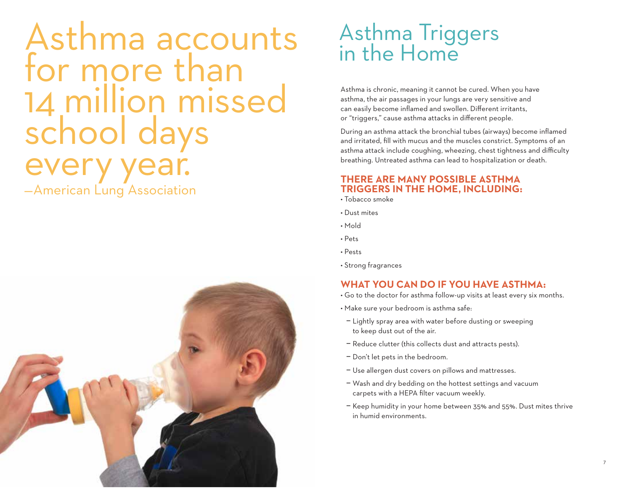## Asthma accounts Asthma Triggers<br>for more than 14 million missed school days very year. —American Lung Association



Asthma is chronic, meaning it cannot be cured. When you have asthma, the air passages in your lungs are very sensitive and can easily become inflamed and swollen. Different irritants, or "triggers," cause asthma attacks in different people.

During an asthma attack the bronchial tubes (airways) become inflamed and irritated, fill with mucus and the muscles constrict. Symptoms of an asthma attack include coughing, wheezing, chest tightness and difficulty breathing. Untreated asthma can lead to hospitalization or death.

#### **THERE ARE MANY POSSIBLE ASTHMA TRIGGERS IN THE HOME, INCLUDING:**

- Tobacco smoke
- Dust mites
- Mold
- Pets
- Pests
- Strong fragrances

#### **WHAT YOU CAN DO IF YOU HAVE ASTHMA:**

- Go to the doctor for asthma follow-up visits at least every six months.
- Make sure your bedroom is asthma safe:
- Lightly spray area with water before dusting or sweeping to keep dust out of the air.
- Reduce clutter (this collects dust and attracts pests).
- Don't let pets in the bedroom.
- Use allergen dust covers on pillows and mattresses.
- Wash and dry bedding on the hottest settings and vacuum carpets with a HEPA filter vacuum weekly.
- Keep humidity in your home between 35% and 55%. Dust mites thrive in humid environments.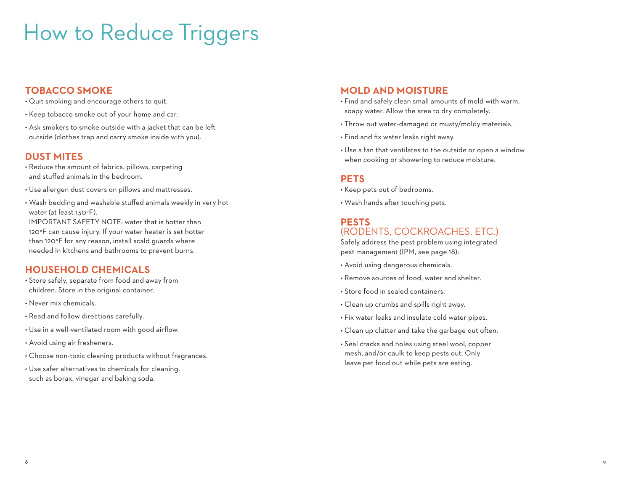### How to Reduce Triggers

#### **TOBACCO SMOKE**

- Quit smoking and encourage others to quit.
- Keep tobacco smoke out of your home and car.
- Ask smokers to smoke outside with a jacket that can be left outside (clothes trap and carry smoke inside with you).

#### **DUST MITES**

- Reduce the amount of fabrics, pillows, carpeting and stuffed animals in the bedroom.
- Use allergen dust covers on pillows and mattresses.
- Wash bedding and washable stuffed animals weekly in very hot water (at least 130°F). IMPORTANT SAFETY NOTE: water that is hotter than 120°F can cause injury. If your water heater is set hotter than 120°F for any reason, install scald guards where needed in kitchens and bathrooms to prevent burns.

#### **HOUSEHOLD CHEMICALS**

- Store safely, separate from food and away from children. Store in the original container.
- Never mix chemicals.
- Read and follow directions carefully.
- Use in a well-ventilated room with good airflow.
- Avoid using air fresheners.
- Choose non-toxic cleaning products without fragrances.
- Use safer alternatives to chemicals for cleaning, such as borax, vinegar and baking soda.

#### **MOLD AND MOISTURE**

- Find and safely clean small amounts of mold with warm, soapy water. Allow the area to dry completely.
- Throw out water-damaged or musty/moldy materials.
- Find and fix water leaks right away.
- Use a fan that ventilates to the outside or open a window when cooking or showering to reduce moisture.

#### **PETS**

- Keep pets out of bedrooms.
- Wash hands after touching pets.

#### **PESTS**

#### (RODENTS, COCKROACHES, ETC.)

Safely address the pest problem using integrated pest management (IPM, see page 18):

- Avoid using dangerous chemicals.
- Remove sources of food, water and shelter.
- Store food in sealed containers.
- Clean up crumbs and spills right away.
- Fix water leaks and insulate cold water pipes.
- Clean up clutter and take the garbage out often.
- Seal cracks and holes using steel wool, copper mesh, and/or caulk to keep pests out. Only leave pet food out while pets are eating.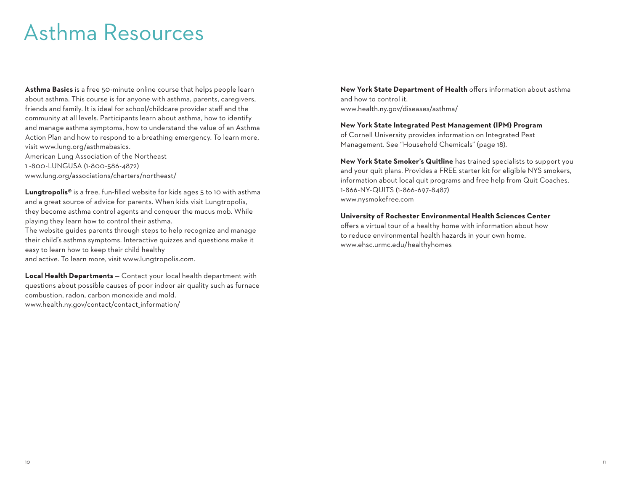### Asthma Resources

**Asthma Basics** is a free 50-minute online course that helps people learn about asthma. This course is for anyone with asthma, parents, caregivers, friends and family. It is ideal for school/childcare provider staff and the community at all levels. Participants learn about asthma, how to identify and manage asthma symptoms, how to understand the value of an Asthma Action Plan and how to respond to a breathing emergency. To learn more, visit www.lung.org/asthmabasics.

American Lung Association of the Northeast 1 -800-LUNGUSA (1-800-586-4872) www.lung.org/associations/charters/northeast/

**Lungtropolis®** is a free, fun-filled website for kids ages 5 to 10 with asthma and a great source of advice for parents. When kids visit Lungtropolis, they become asthma control agents and conquer the mucus mob. While playing they learn how to control their asthma.

The website guides parents through steps to help recognize and manage their child's asthma symptoms. Interactive quizzes and questions make it easy to learn how to keep their child healthy and active. To learn more, visit www.lungtropolis.com.

**Local Health Departments** — Contact your local health department with questions about possible causes of poor indoor air quality such as furnace combustion, radon, carbon monoxide and mold. www.health.ny.gov/contact/contact\_information/

**New York State Department of Health** offers information about asthma and how to control it. www.health.ny.gov/diseases/asthma/

#### **New York State Integrated Pest Management (IPM) Program**

of Cornell University provides information on Integrated Pest Management. See "Household Chemicals" (page 18).

**New York State Smoker's Quitline** has trained specialists to support you and your quit plans. Provides a FREE starter kit for eligible NYS smokers, information about local quit programs and free help from Quit Coaches. 1-866-NY-QUITS (1-866-697-8487) www.nysmokefree.com

**University of Rochester Environmental Health Sciences Center** offers a virtual tour of a healthy home with information about how to reduce environmental health hazards in your own home. www.ehsc.urmc.edu/healthyhomes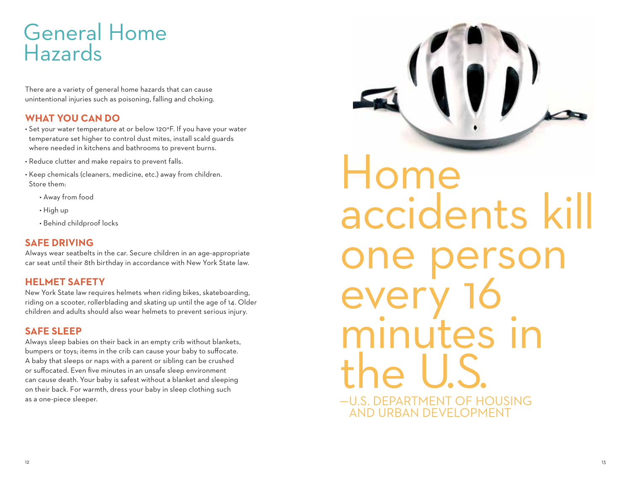### General Home Hazards

There are a variety of general home hazards that can cause unintentional injuries such as poisoning, falling and choking.

#### **WHAT YOU CAN DO**

- Set your water temperature at or below 120°F. If you have your water temperature set higher to control dust mites, install scald guards where needed in kitchens and bathrooms to prevent burns.
- Reduce clutter and make repairs to prevent falls.
- Keep chemicals (cleaners, medicine, etc.) away from children. Store them:
	- Away from food
	- High up
	- Behind childproof locks

#### **SAFE DRIVING**

Always wear seatbelts in the car. Secure children in an age-appropriate car seat until their 8th birthday in accordance with New York State law.

#### **HELMET SAFETY**

New York State law requires helmets when riding bikes, skateboarding, riding on a scooter, rollerblading and skating up until the age of 14. Older children and adults should also wear helmets to prevent serious injury.

#### **SAFE SLEEP**

Always sleep babies on their back in an empty crib without blankets, bumpers or toys; items in the crib can cause your baby to suffocate. A baby that sleeps or naps with a parent or sibling can be crushed or suffocated. Even five minutes in an unsafe sleep environment can cause death. Your baby is safest without a blanket and sleeping on their back. For warmth, dress your baby in sleep clothing such as a one-piece sleeper.

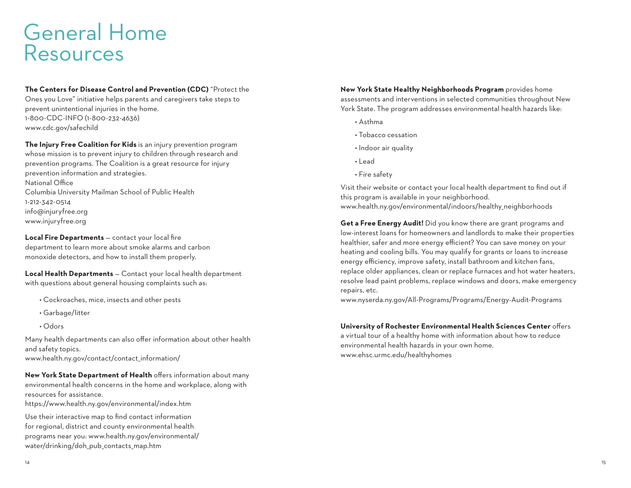### General Home **Resources**

**The Centers for Disease Control and Prevention (CDC)** "Protect the Ones you Love" initiative helps parents and caregivers take steps to prevent unintentional injuries in the home. 1-800-CDC-INFO (1-800-232-4636) www.cdc.gov/safechild

**The Injury Free Coalition for Kids** is an injury prevention program whose mission is to prevent injury to children through research and prevention programs. The Coalition is a great resource for injury prevention information and strategies. National Office Columbia University Mailman School of Public Health 1-212-342-0514 info@injuryfree.org www.injuryfree.org

**Local Fire Departments** — contact your local fire department to learn more about smoke alarms and carbon monoxide detectors, and how to install them properly.

**Local Health Departments** — Contact your local health department with questions about general housing complaints such as:

- Cockroaches, mice, insects and other pests
- Garbage/litter
- Odors

Many health departments can also offer information about other health and safety topics. www.health.ny.gov/contact/contact\_information/

**New York State Department of Health** offers information about many environmental health concerns in the home and workplace, along with resources for assistance.

https://www.health.ny.gov/environmental/index.htm

Use their interactive map to find contact information for regional, district and county environmental health programs near you: www.health.ny.gov/environmental/ water/drinking/doh\_pub\_contacts\_map.htm

**New York State Healthy Neighborhoods Program** provides home assessments and interventions in selected communities throughout New York State. The program addresses environmental health hazards like:

- Asthma
- Tobacco cessation
- Indoor air quality
- Lead
- Fire safety

Visit their website or contact your local health department to find out if this program is available in your neighborhood. www.health.ny.gov/environmental/indoors/healthy\_neighborhoods

**Get a Free Energy Audit!** Did you know there are grant programs and low-interest loans for homeowners and landlords to make their properties healthier, safer and more energy efficient? You can save money on your heating and cooling bills. You may qualify for grants or loans to increase energy efficiency, improve safety, install bathroom and kitchen fans, replace older appliances, clean or replace furnaces and hot water heaters, resolve lead paint problems, replace windows and doors, make emergency repairs, etc.

www.nyserda.ny.gov/All-Programs/Programs/Energy-Audit-Programs

#### **University of Rochester Environmental Health Sciences Center** offers

a virtual tour of a healthy home with information about how to reduce environmental health hazards in your own home. www.ehsc.urmc.edu/healthyhomes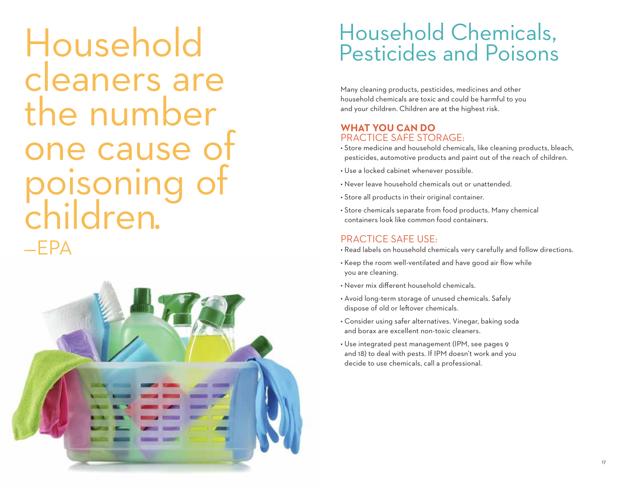Household cleaners are the number ne cause oisonin children. —EPA



### Household Chemicals, Pesticides and Poisons

Many cleaning products, pesticides, medicines and other household chemicals are toxic and could be harmful to you and your children. Children are at the highest risk.

#### **WHAT YOU CAN DO** PRACTICE SAFE STORAGE:

- Store medicine and household chemicals, like cleaning products, bleach, pesticides, automotive products and paint out of the reach of children.
- Use a locked cabinet whenever possible.
- Never leave household chemicals out or unattended.
- Store all products in their original container.
- Store chemicals separate from food products. Many chemical containers look like common food containers.

#### PRACTICE SAFE USE:

- Read labels on household chemicals very carefully and follow directions.
- Keep the room well-ventilated and have good air flow while you are cleaning.
- Never mix different household chemicals.
- Avoid long-term storage of unused chemicals. Safely dispose of old or leftover chemicals.
- Consider using safer alternatives. Vinegar, baking soda and borax are excellent non-toxic cleaners.
- Use integrated pest management (IPM, see pages 9 and 18) to deal with pests. If IPM doesn't work and you decide to use chemicals, call a professional.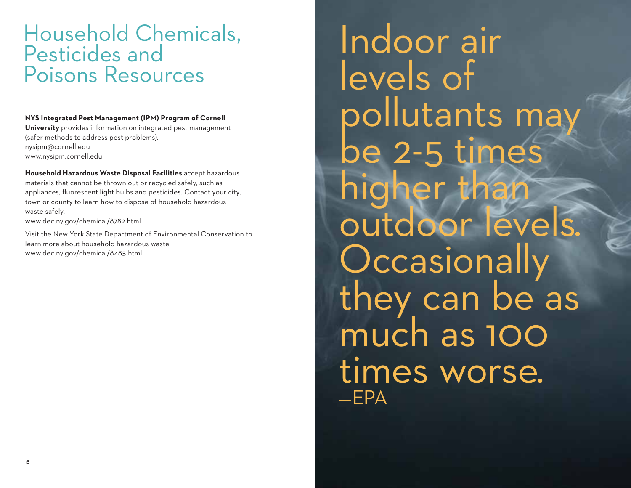### Household Chemicals, Pesticides and Poisons Resources

#### **NYS Integrated Pest Management (IPM) Program of Cornell**

**University** provides information on integrated pest management (safer methods to address pest problems). nysipm@cornell.edu www.nysipm.cornell.edu

**Household Hazardous Waste Disposal Facilities** accept hazardous materials that cannot be thrown out or recycled safely, such as appliances, fluorescent light bulbs and pesticides. Contact your city, town or county to learn how to dispose of household hazardous waste safely. www.dec.ny.gov/chemical/8782.html

Visit the New York State Department of Environmental Conservation to learn more about household hazardous waste. www.dec.ny.gov/chemical/8485.html

Indoor air levels of pollutants may be 2-5 times higher than outdoor levels. **Occasionally** they can be as much as 100 times worse. —EPA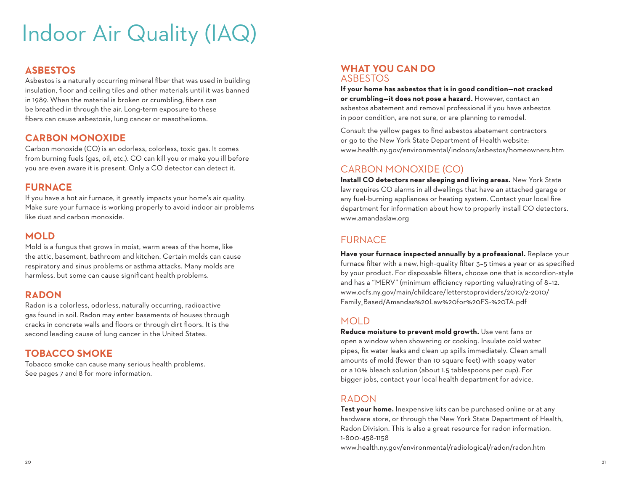### Indoor Air Quality (IAQ)

#### **ASBESTOS**

Asbestos is a naturally occurring mineral fiber that was used in building insulation, floor and ceiling tiles and other materials until it was banned in 1989. When the material is broken or crumbling, fibers can be breathed in through the air. Long-term exposure to these fibers can cause asbestosis, lung cancer or mesothelioma.

#### **CARBON MONOXIDE**

Carbon monoxide (CO) is an odorless, colorless, toxic gas. It comes from burning fuels (gas, oil, etc.). CO can kill you or make you ill before you are even aware it is present. Only a CO detector can detect it.

#### **FURNACE**

If you have a hot air furnace, it greatly impacts your home's air quality. Make sure your furnace is working properly to avoid indoor air problems like dust and carbon monoxide.

#### **MOLD**

Mold is a fungus that grows in moist, warm areas of the home, like the attic, basement, bathroom and kitchen. Certain molds can cause respiratory and sinus problems or asthma attacks. Many molds are harmless, but some can cause significant health problems.

#### **RADON**

Radon is a colorless, odorless, naturally occurring, radioactive gas found in soil. Radon may enter basements of houses through cracks in concrete walls and floors or through dirt floors. It is the second leading cause of lung cancer in the United States.

#### **TOBACCO SMOKE**

Tobacco smoke can cause many serious health problems. See pages 7 and 8 for more information.

#### **WHAT YOU CAN DO** ASBESTOS

**If your home has asbestos that is in good condition—not cracked or crumbling—it does not pose a hazard.** However, contact an asbestos abatement and removal professional if you have asbestos in poor condition, are not sure, or are planning to remodel.

Consult the yellow pages to find asbestos abatement contractors or go to the New York State Department of Health website: www.health.ny.gov/environmental/indoors/asbestos/homeowners.htm

#### CARBON MONOXIDE (CO)

**Install CO detectors near sleeping and living areas.** New York State law requires CO alarms in all dwellings that have an attached garage or any fuel-burning appliances or heating system. Contact your local fire department for information about how to properly install CO detectors. www.amandaslaw.org

#### **FURNACE**

**Have your furnace inspected annually by a professional.** Replace your furnace filter with a new, high-quality filter 3–5 times a year or as specified by your product. For disposable filters, choose one that is accordion-style and has a "MERV" (minimum efficiency reporting value)rating of 8–12. www.ocfs.ny.gov/main/childcare/letterstoproviders/2010/2-2010/ Family\_Based/Amandas%20Law%20for%20FS-%20TA.pdf

#### MOLD

**Reduce moisture to prevent mold growth.** Use vent fans or open a window when showering or cooking. Insulate cold water pipes, fix water leaks and clean up spills immediately. Clean small amounts of mold (fewer than 10 square feet) with soapy water or a 10% bleach solution (about 1.5 tablespoons per cup). For bigger jobs, contact your local health department for advice.

#### RADON

**Test your home.** Inexpensive kits can be purchased online or at any hardware store, or through the New York State Department of Health, Radon Division. This is also a great resource for radon information. 1-800-458-1158

www.health.ny.gov/environmental/radiological/radon/radon.htm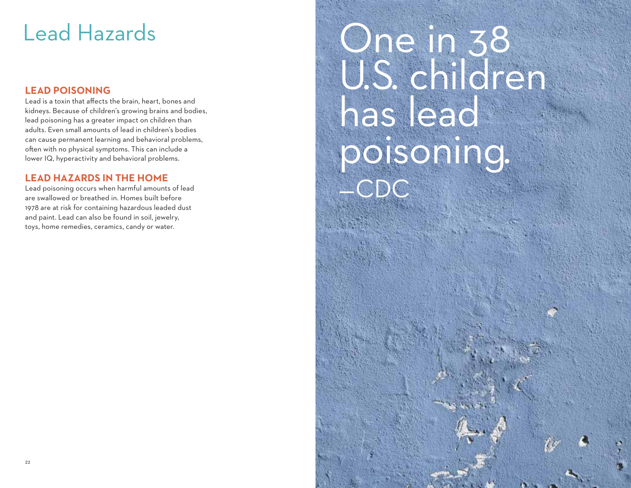### Lead Hazards

#### **LEAD POISONING**

Lead is a toxin that affects the brain, heart, bones and kidneys. Because of children's growing brains and bodies, lead poisoning has a greater impact on children than adults. Even small amounts of lead in children's bodies can cause permanent learning and behavioral problems, often with no physical symptoms. This can include a lower IQ, hyperactivity and behavioral problems.

#### **LEAD HAZARDS IN THE HOME**

Lead poisoning occurs when harmful amounts of lead are swallowed or breathed in. Homes built before 1978 are at risk for containing hazardous leaded dust and paint. Lead can also be found in soil, jewelry, toys, home remedies, ceramics, candy or water.

## One in 38 U.S. children has lead poisoning. —CDC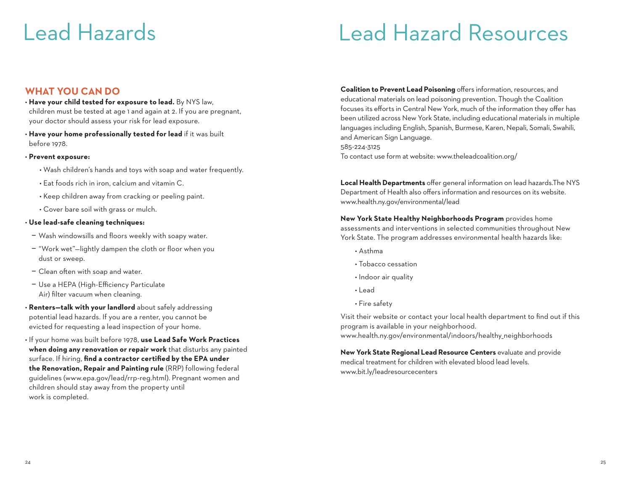### Lead Hazards Lead Hazard Resources

#### **WHAT YOU CAN DO**

- **Have your child tested for exposure to lead.** By NYS law, children must be tested at age 1 and again at 2. If you are pregnant, your doctor should assess your risk for lead exposure.
- **Have your home professionally tested for lead** if it was built before 1978.

#### • **Prevent exposure:**

- Wash children's hands and toys with soap and water frequently.
- Eat foods rich in iron, calcium and vitamin C.
- Keep children away from cracking or peeling paint.
- Cover bare soil with grass or mulch.

#### • **Use lead-safe cleaning techniques:**

- Wash windowsills and floors weekly with soapy water.
- "Work wet"—lightly dampen the cloth or floor when you dust or sweep.
- Clean often with soap and water.
- Use a HEPA (High-Efficiency Particulate Air) filter vacuum when cleaning.
- **Renters—talk with your landlord** about safely addressing potential lead hazards. If you are a renter, you cannot be evicted for requesting a lead inspection of your home.
- If your home was built before 1978, **use Lead Safe Work Practices when doing any renovation or repair work** that disturbs any painted surface. If hiring, **find a contractor certified by the EPA under the Renovation, Repair and Painting rule** (RRP) following federal guidelines (www.epa.gov/lead/rrp-reg.html). Pregnant women and children should stay away from the property until work is completed.

**Coalition to Prevent Lead Poisoning** offers information, resources, and educational materials on lead poisoning prevention. Though the Coalition focuses its efforts in Central New York, much of the information they offer has been utilized across New York State, including educational materials in multiple languages including English, Spanish, Burmese, Karen, Nepali, Somali, Swahili, and American Sign Language. 585-224-3125

To contact use form at website: www.theleadcoalition.org/

**Local Health Departments** offer general information on lead hazards.The NYS Department of Health also offers information and resources on its website. www.health.ny.gov/environmental/lead

**New York State Healthy Neighborhoods Program** provides home assessments and interventions in selected communities throughout New York State. The program addresses environmental health hazards like:

- Asthma
- Tobacco cessation
- Indoor air quality
- Lead
- Fire safety

Visit their website or contact your local health department to find out if this program is available in your neighborhood. www.health.ny.gov/environmental/indoors/healthy\_neighborhoods

**New York State Regional Lead Resource Centers** evaluate and provide medical treatment for children with elevated blood lead levels. www.bit.ly/leadresourcecenters